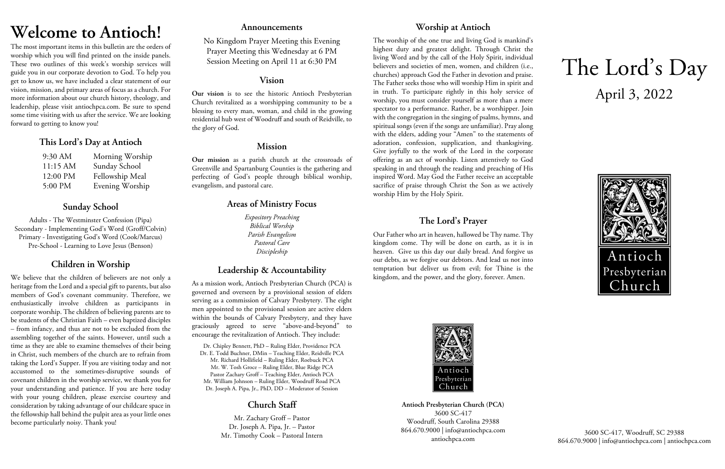# **Welcome to Antioch!**

The most important items in this bulletin are the orders of worship which you will find printed on the inside panels. These two outlines of this week's worship services will guide you in our corporate devotion to God. To help you get to know us, we have included a clear statement of our vision, mission, and primary areas of focus as a church. For more information about our church history, theology, and leadership, please visit antiochpca.com. Be sure to spend some time visiting with us after the service. We are looking forward to getting to know you!

## **This Lord's Day at Antioch**

| 9:30 AM  | Morning Worship |
|----------|-----------------|
| 11:15 AM | Sunday School   |
| 12:00 PM | Fellowship Meal |
| 5:00 PM  | Evening Worship |

# **Sunday School**

Adults - The Westminster Confession (Pipa) Secondary - Implementing God's Word (Groff/Colvin) Primary - Investigating God's Word (Cook/Marcus) Pre-School - Learning to Love Jesus (Benson)

# **Children in Worship**

We believe that the children of believers are not only a heritage from the Lord and a special gift to parents, but also members of God's covenant community. Therefore, we enthusiastically involve children as participants in corporate worship. The children of believing parents are to be students of the Christian Faith – even baptized disciples – from infancy, and thus are not to be excluded from the assembling together of the saints. However, until such a time as they are able to examine themselves of their being in Christ, such members of the church are to refrain from taking the Lord's Supper. If you are visiting today and not accustomed to the sometimes-disruptive sounds of covenant children in the worship service, we thank you for your understanding and patience. If you are here today with your young children, please exercise courtesy and consideration by taking advantage of our childcare space in the fellowship hall behind the pulpit area as your little ones become particularly noisy. Thank you!

## **Announcements**

No Kingdom Prayer Meeting this Evening Prayer Meeting this Wednesday at 6 PM Session Meeting on April 11 at 6:30 PM

## **Vision**

**Our vision** is to see the historic Antioch Presbyterian Church revitalized as a worshipping community to be a blessing to every man, woman, and child in the growing residential hub west of Woodruff and south of Reidville, to the glory of God.

## **Mission**

**Our mission** as a parish church at the crossroads of Greenville and Spartanburg Counties is the gathering and perfecting of God's people through biblical worship, evangelism, and pastoral care.

# **Areas of Ministry Focus**

*Expository Preaching Biblical Worship Parish Evangelism Pastoral Care Discipleship*

# **Leadership & Accountability**

As a mission work, Antioch Presbyterian Church (PCA) is governed and overseen by a provisional session of elders serving as a commission of Calvary Presbytery. The eight men appointed to the provisional session are active elders within the bounds of Calvary Presbytery, and they have graciously agreed to serve "above-and-beyond" to encourage the revitalization of Antioch. They include:

Dr. Chipley Bennett, PhD – Ruling Elder, Providence PCA Dr. E. Todd Buchner, DMin – Teaching Elder, Reidville PCA Mr. Richard Hollifield – Ruling Elder, Roebuck PCA Mr. W. Tosh Groce – Ruling Elder, Blue Ridge PCA Pastor Zachary Groff – Teaching Elder, Antioch PCA Mr. William Johnson – Ruling Elder, Woodruff Road PCA Dr. Joseph A. Pipa, Jr., PhD, DD – Moderator of Session

# **Church Staff**

Mr. Zachary Groff – Pastor Dr. Joseph A. Pipa, Jr. – Pastor Mr. Timothy Cook – Pastoral Intern

# **Worship at Antioch**

The worship of the one true and living God is mankind's highest duty and greatest delight. Through Christ the living Word and by the call of the Holy Spirit, individual believers and societies of men, women, and children (i.e., churches) approach God the Father in devotion and praise. The Father seeks those who will worship Him in spirit and in truth. To participate rightly in this holy service of worship, you must consider yourself as more than a mere spectator to a performance. Rather, be a worshipper. Join with the congregation in the singing of psalms, hymns, and spiritual songs (even if the songs are unfamiliar). Pray along with the elders, adding your "Amen" to the statements of adoration, confession, supplication, and thanksgiving. Give joyfully to the work of the Lord in the corporate offering as an act of worship. Listen attentively to God speaking in and through the reading and preaching of His inspired Word. May God the Father receive an acceptable sacrifice of praise through Christ the Son as we actively worship Him by the Holy Spirit.

# **The Lord's Prayer**

Our Father who art in heaven, hallowed be Thy name. Thy kingdom come. Thy will be done on earth, as it is in heaven. Give us this day our daily bread. And forgive us our debts, as we forgive our debtors. And lead us not into temptation but deliver us from evil; for Thine is the kingdom, and the power, and the glory, forever. Amen.



**Antioch Presbyterian Church (PCA)** 3600 SC-417 Woodruff, South Carolina 29388 864.670.9000 | info@antiochpca.com antiochpca.com

# The Lord's Day April 3, 2022



3600 SC-417, Woodruff, SC 29388 864.670.9000 | info@antiochpca.com | antiochpca.com